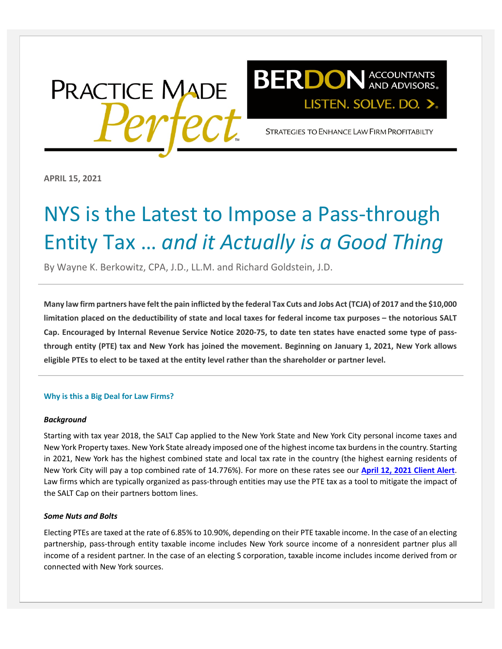



STRATEGIES TO ENHANCE LAW FIRM PROFITABILTY

**APRIL 15, 2021**

# NYS is the Latest to Impose a Pass-through Entity Tax … *and it Actually is a Good Thing*

By [Wayne K. Berkowitz, CPA, J.D., LL.M.](https://www.berdonllp.com/employee/wayne-berkowitz/) and [Richard Goldstein, J.D.](https://www.berdonllp.com/employee/richard-goldstein/)

**Many law firm partners have felt the pain inflicted by the federal Tax Cuts and Jobs Act (TCJA) of 2017 and the \$10,000 limitation placed on the deductibility of state and local taxes for federal income tax purposes – the notorious SALT Cap. Encouraged by Internal Revenue Service Notice 2020-75, to date ten states have enacted some type of passthrough entity (PTE) tax and New York has joined the movement. Beginning on January 1, 2021, New York allows eligible PTEs to elect to be taxed at the entity level rather than the shareholder or partner level.**

#### **Why is this a Big Deal for Law Firms?**

#### *Background*

Starting with tax year 2018, the SALT Cap applied to the New York State and New York City personal income taxes and New York Property taxes. New York State already imposed one of the highest income tax burdens in the country. Starting in 2021, New York has the highest combined state and local tax rate in the country (the highest earning residents of New York City will pay a top combined rate of 14.776%). For more on these rates see our **[April 12, 2021 Client Alert](https://www.berdonllp.com/ny-state-budget-unleashes-aggressive-tax-hikes/)**. Law firms which are typically organized as pass-through entities may use the PTE tax as a tool to mitigate the impact of the SALT Cap on their partners bottom lines.

#### *Some Nuts and Bolts*

Electing PTEs are taxed at the rate of 6.85% to 10.90%, depending on their PTE taxable income. In the case of an electing partnership, pass-through entity taxable income includes New York source income of a nonresident partner plus all income of a resident partner. In the case of an electing S corporation, taxable income includes income derived from or connected with New York sources.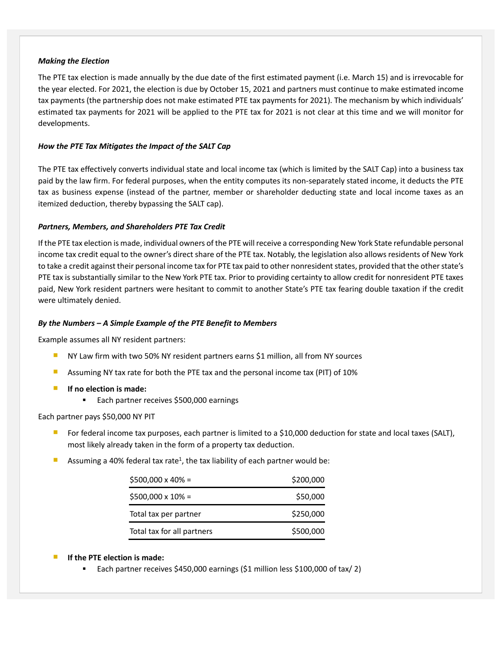# *Making the Election*

The PTE tax election is made annually by the due date of the first estimated payment (i.e. March 15) and is irrevocable for the year elected. For 2021, the election is due by October 15, 2021 and partners must continue to make estimated income tax payments (the partnership does not make estimated PTE tax payments for 2021). The mechanism by which individuals' estimated tax payments for 2021 will be applied to the PTE tax for 2021 is not clear at this time and we will monitor for developments.

# *How the PTE Tax Mitigates the Impact of the SALT Cap*

The PTE tax effectively converts individual state and local income tax (which is limited by the SALT Cap) into a business tax paid by the law firm. For federal purposes, when the entity computes its non-separately stated income, it deducts the PTE tax as business expense (instead of the partner, member or shareholder deducting state and local income taxes as an itemized deduction, thereby bypassing the SALT cap).

# *Partners, Members, and Shareholders PTE Tax Credit*

If the PTE tax election is made, individual owners of the PTE will receive a corresponding New York State refundable personal income tax credit equal to the owner's direct share of the PTE tax. Notably, the legislation also allows residents of New York to take a credit against their personal income tax for PTE tax paid to other nonresident states, provided that the other state's PTE tax is substantially similar to the New York PTE tax. Prior to providing certainty to allow credit for nonresident PTE taxes paid, New York resident partners were hesitant to commit to another State's PTE tax fearing double taxation if the credit were ultimately denied.

## *By the Numbers – A Simple Example of the PTE Benefit to Members*

Example assumes all NY resident partners:

- **NY Law firm with two 50% NY resident partners earns \$1 million, all from NY sources**
- Assuming NY tax rate for both the PTE tax and the personal income tax (PIT) of 10%
- **If no election is made:**
	- Each partner receives \$500,000 earnings

## Each partner pays \$50,000 NY PIT

- For federal income tax purposes, each partner is limited to a \$10,000 deduction for state and local taxes (SALT), most likely already taken in the form of a property tax deduction.
- Assuming a 40% federal tax rate<sup>1</sup>, the tax liability of each partner would be:

| $$500,000 \times 40\% =$   | \$200,000 |
|----------------------------|-----------|
| $$500,000 \times 10\% =$   | \$50,000  |
| Total tax per partner      | \$250,000 |
| Total tax for all partners | \$500,000 |

## **If the PTE election is made:**

Each partner receives \$450,000 earnings (\$1 million less \$100,000 of tax/ 2)